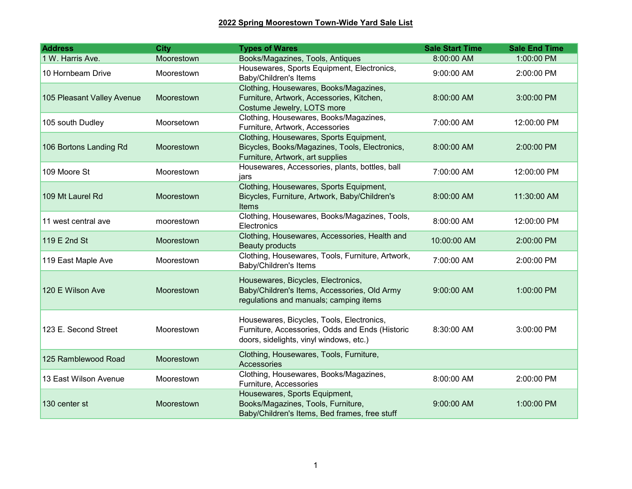| <b>Address</b>             | <b>City</b> | <b>Types of Wares</b>                                                                                                                   | <b>Sale Start Time</b> | <b>Sale End Time</b> |
|----------------------------|-------------|-----------------------------------------------------------------------------------------------------------------------------------------|------------------------|----------------------|
| 1 W. Harris Ave.           | Moorestown  | Books/Magazines, Tools, Antiques                                                                                                        | 8:00:00 AM             | 1:00:00 PM           |
| 10 Hornbeam Drive          | Moorestown  | Housewares, Sports Equipment, Electronics,<br>Baby/Children's Items                                                                     | 9:00:00 AM             | 2:00:00 PM           |
| 105 Pleasant Valley Avenue | Moorestown  | Clothing, Housewares, Books/Magazines,<br>Furniture, Artwork, Accessories, Kitchen,<br>Costume Jewelry, LOTS more                       | 8:00:00 AM             | 3:00:00 PM           |
| 105 south Dudley           | Moorsetown  | Clothing, Housewares, Books/Magazines,<br>Furniture, Artwork, Accessories                                                               | 7:00:00 AM             | 12:00:00 PM          |
| 106 Bortons Landing Rd     | Moorestown  | Clothing, Housewares, Sports Equipment,<br>Bicycles, Books/Magazines, Tools, Electronics,<br>Furniture, Artwork, art supplies           | 8:00:00 AM             | 2:00:00 PM           |
| 109 Moore St               | Moorestown  | Housewares, Accessories, plants, bottles, ball<br>jars                                                                                  | 7:00:00 AM             | 12:00:00 PM          |
| 109 Mt Laurel Rd           | Moorestown  | Clothing, Housewares, Sports Equipment,<br>Bicycles, Furniture, Artwork, Baby/Children's<br>Items                                       | 8:00:00 AM             | 11:30:00 AM          |
| 11 west central ave        | moorestown  | Clothing, Housewares, Books/Magazines, Tools,<br>Electronics                                                                            | 8:00:00 AM             | 12:00:00 PM          |
| 119 E 2nd St               | Moorestown  | Clothing, Housewares, Accessories, Health and<br><b>Beauty products</b>                                                                 | 10:00:00 AM            | 2:00:00 PM           |
| 119 East Maple Ave         | Moorestown  | Clothing, Housewares, Tools, Furniture, Artwork,<br>Baby/Children's Items                                                               | 7:00:00 AM             | 2:00:00 PM           |
| 120 E Wilson Ave           | Moorestown  | Housewares, Bicycles, Electronics,<br>Baby/Children's Items, Accessories, Old Army<br>regulations and manuals; camping items            | 9:00:00 AM             | 1:00:00 PM           |
| 123 E. Second Street       | Moorestown  | Housewares, Bicycles, Tools, Electronics,<br>Furniture, Accessories, Odds and Ends (Historic<br>doors, sidelights, vinyl windows, etc.) | 8:30:00 AM             | 3:00:00 PM           |
| 125 Ramblewood Road        | Moorestown  | Clothing, Housewares, Tools, Furniture,<br>Accessories                                                                                  |                        |                      |
| 13 East Wilson Avenue      | Moorestown  | Clothing, Housewares, Books/Magazines,<br>Furniture, Accessories                                                                        | 8:00:00 AM             | 2:00:00 PM           |
| 130 center st              | Moorestown  | Housewares, Sports Equipment,<br>Books/Magazines, Tools, Furniture,<br>Baby/Children's Items, Bed frames, free stuff                    | 9:00:00 AM             | 1:00:00 PM           |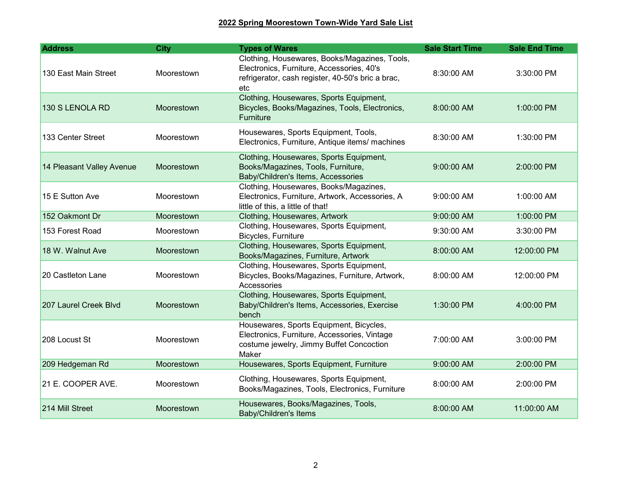| <b>Address</b>            | <b>City</b> | <b>Types of Wares</b>                                                                                                                                  | <b>Sale Start Time</b> | <b>Sale End Time</b> |
|---------------------------|-------------|--------------------------------------------------------------------------------------------------------------------------------------------------------|------------------------|----------------------|
| 130 East Main Street      | Moorestown  | Clothing, Housewares, Books/Magazines, Tools,<br>Electronics, Furniture, Accessories, 40's<br>refrigerator, cash register, 40-50's bric a brac,<br>etc | 8:30:00 AM             | 3:30:00 PM           |
| 130 S LENOLA RD           | Moorestown  | Clothing, Housewares, Sports Equipment,<br>Bicycles, Books/Magazines, Tools, Electronics,<br>Furniture                                                 | 8:00:00 AM             | 1:00:00 PM           |
| 133 Center Street         | Moorestown  | Housewares, Sports Equipment, Tools,<br>Electronics, Furniture, Antique items/ machines                                                                | 8:30:00 AM             | 1:30:00 PM           |
| 14 Pleasant Valley Avenue | Moorestown  | Clothing, Housewares, Sports Equipment,<br>Books/Magazines, Tools, Furniture,<br>Baby/Children's Items, Accessories                                    | 9:00:00 AM             | 2:00:00 PM           |
| 15 E Sutton Ave           | Moorestown  | Clothing, Housewares, Books/Magazines,<br>Electronics, Furniture, Artwork, Accessories, A<br>little of this, a little of that!                         | 9:00:00 AM             | 1:00:00 AM           |
| 152 Oakmont Dr            | Moorestown  | Clothing, Housewares, Artwork                                                                                                                          | 9:00:00 AM             | 1:00:00 PM           |
| 153 Forest Road           | Moorestown  | Clothing, Housewares, Sports Equipment,<br>Bicycles, Furniture                                                                                         | 9:30:00 AM             | 3:30:00 PM           |
| 18 W. Walnut Ave          | Moorestown  | Clothing, Housewares, Sports Equipment,<br>Books/Magazines, Furniture, Artwork                                                                         | 8:00:00 AM             | 12:00:00 PM          |
| 20 Castleton Lane         | Moorestown  | Clothing, Housewares, Sports Equipment,<br>Bicycles, Books/Magazines, Furniture, Artwork,<br>Accessories                                               | 8:00:00 AM             | 12:00:00 PM          |
| 207 Laurel Creek Blvd     | Moorestown  | Clothing, Housewares, Sports Equipment,<br>Baby/Children's Items, Accessories, Exercise<br>bench                                                       | 1:30:00 PM             | 4:00:00 PM           |
| 208 Locust St             | Moorestown  | Housewares, Sports Equipment, Bicycles,<br>Electronics, Furniture, Accessories, Vintage<br>costume jewelry, Jimmy Buffet Concoction<br>Maker           | 7:00:00 AM             | 3:00:00 PM           |
| 209 Hedgeman Rd           | Moorestown  | Housewares, Sports Equipment, Furniture                                                                                                                | 9:00:00 AM             | 2:00:00 PM           |
| 21 E. COOPER AVE.         | Moorestown  | Clothing, Housewares, Sports Equipment,<br>Books/Magazines, Tools, Electronics, Furniture                                                              | 8:00:00 AM             | 2:00:00 PM           |
| 214 Mill Street           | Moorestown  | Housewares, Books/Magazines, Tools,<br><b>Baby/Children's Items</b>                                                                                    | 8:00:00 AM             | 11:00:00 AM          |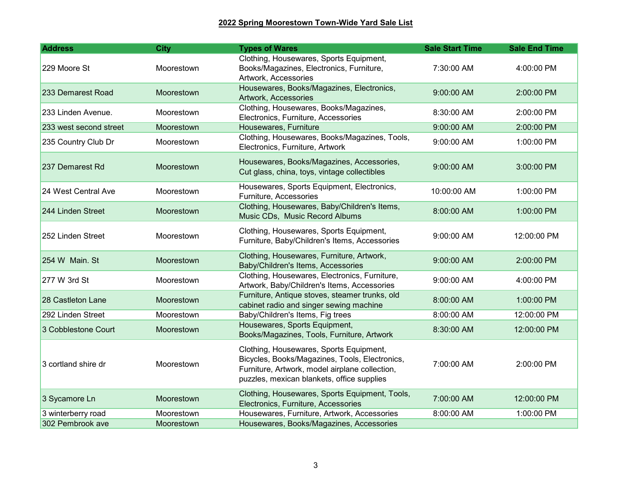| <b>Address</b>         | <b>City</b>       | <b>Types of Wares</b>                                                                                                                                                                     | <b>Sale Start Time</b> | <b>Sale End Time</b> |
|------------------------|-------------------|-------------------------------------------------------------------------------------------------------------------------------------------------------------------------------------------|------------------------|----------------------|
| 229 Moore St           | Moorestown        | Clothing, Housewares, Sports Equipment,<br>Books/Magazines, Electronics, Furniture,<br>Artwork, Accessories                                                                               | 7:30:00 AM             | 4:00:00 PM           |
| 233 Demarest Road      | Moorestown        | Housewares, Books/Magazines, Electronics,<br>Artwork, Accessories                                                                                                                         | 9:00:00 AM             | 2:00:00 PM           |
| 233 Linden Avenue.     | Moorestown        | Clothing, Housewares, Books/Magazines,<br>Electronics, Furniture, Accessories                                                                                                             | 8:30:00 AM             | 2:00:00 PM           |
| 233 west second street | Moorestown        | Housewares, Furniture                                                                                                                                                                     | 9:00:00 AM             | 2:00:00 PM           |
| 235 Country Club Dr    | Moorestown        | Clothing, Housewares, Books/Magazines, Tools,<br>Electronics, Furniture, Artwork                                                                                                          | 9:00:00 AM             | 1:00:00 PM           |
| 237 Demarest Rd        | Moorestown        | Housewares, Books/Magazines, Accessories,<br>Cut glass, china, toys, vintage collectibles                                                                                                 | 9:00:00 AM             | 3:00:00 PM           |
| 24 West Central Ave    | Moorestown        | Housewares, Sports Equipment, Electronics,<br>Furniture, Accessories                                                                                                                      | 10:00:00 AM            | 1:00:00 PM           |
| 244 Linden Street      | <b>Moorestown</b> | Clothing, Housewares, Baby/Children's Items,<br>Music CDs, Music Record Albums                                                                                                            | 8:00:00 AM             | 1:00:00 PM           |
| 252 Linden Street      | Moorestown        | Clothing, Housewares, Sports Equipment,<br>Furniture, Baby/Children's Items, Accessories                                                                                                  | 9:00:00 AM             | 12:00:00 PM          |
| 254 W Main, St         | Moorestown        | Clothing, Housewares, Furniture, Artwork,<br>Baby/Children's Items, Accessories                                                                                                           | 9:00:00 AM             | 2:00:00 PM           |
| 277 W 3rd St           | Moorestown        | Clothing, Housewares, Electronics, Furniture,<br>Artwork, Baby/Children's Items, Accessories                                                                                              | 9:00:00 AM             | 4:00:00 PM           |
| 28 Castleton Lane      | Moorestown        | Furniture, Antique stoves, steamer trunks, old<br>cabinet radio and singer sewing machine                                                                                                 | 8:00:00 AM             | 1:00:00 PM           |
| 292 Linden Street      | Moorestown        | Baby/Children's Items, Fig trees                                                                                                                                                          | 8:00:00 AM             | 12:00:00 PM          |
| 3 Cobblestone Court    | Moorestown        | Housewares, Sports Equipment,<br>Books/Magazines, Tools, Furniture, Artwork                                                                                                               | 8:30:00 AM             | 12:00:00 PM          |
| 3 cortland shire dr    | Moorestown        | Clothing, Housewares, Sports Equipment,<br>Bicycles, Books/Magazines, Tools, Electronics,<br>Furniture, Artwork, model airplane collection,<br>puzzles, mexican blankets, office supplies | 7:00:00 AM             | 2:00:00 PM           |
| 3 Sycamore Ln          | Moorestown        | Clothing, Housewares, Sports Equipment, Tools,<br>Electronics, Furniture, Accessories                                                                                                     | 7:00:00 AM             | 12:00:00 PM          |
| 3 winterberry road     | Moorestown        | Housewares, Furniture, Artwork, Accessories                                                                                                                                               | 8:00:00 AM             | 1:00:00 PM           |
| 302 Pembrook ave       | Moorestown        | Housewares, Books/Magazines, Accessories                                                                                                                                                  |                        |                      |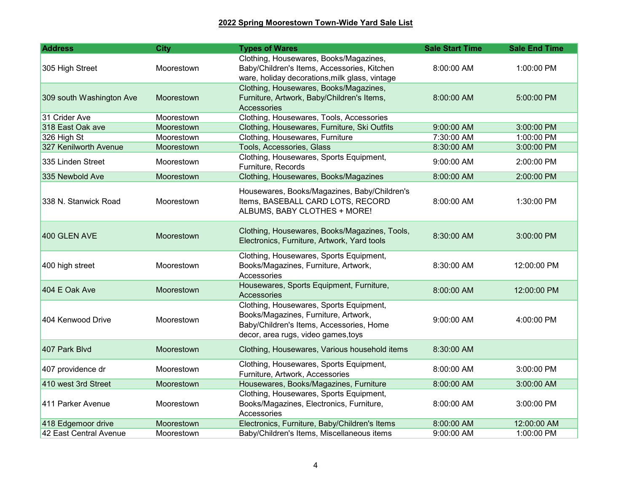| <b>Address</b>           | <b>City</b>       | <b>Types of Wares</b>                                                                                                                                              | <b>Sale Start Time</b> | <b>Sale End Time</b> |
|--------------------------|-------------------|--------------------------------------------------------------------------------------------------------------------------------------------------------------------|------------------------|----------------------|
| 305 High Street          | Moorestown        | Clothing, Housewares, Books/Magazines,<br>Baby/Children's Items, Accessories, Kitchen<br>ware, holiday decorations, milk glass, vintage                            | 8:00:00 AM             | 1:00:00 PM           |
| 309 south Washington Ave | Moorestown        | Clothing, Housewares, Books/Magazines,<br>Furniture, Artwork, Baby/Children's Items,<br>Accessories                                                                | 8:00:00 AM             | 5:00:00 PM           |
| 31 Crider Ave            | Moorestown        | Clothing, Housewares, Tools, Accessories                                                                                                                           |                        |                      |
| 318 East Oak ave         | Moorestown        | Clothing, Housewares, Furniture, Ski Outfits                                                                                                                       | 9:00:00 AM             | 3:00:00 PM           |
| 326 High St              | Moorestown        | Clothing, Housewares, Furniture                                                                                                                                    | 7:30:00 AM             | 1:00:00 PM           |
| 327 Kenilworth Avenue    | Moorestown        | Tools, Accessories, Glass                                                                                                                                          | 8:30:00 AM             | 3:00:00 PM           |
| 335 Linden Street        | Moorestown        | Clothing, Housewares, Sports Equipment,<br>Furniture, Records                                                                                                      | 9:00:00 AM             | 2:00:00 PM           |
| 335 Newbold Ave          | Moorestown        | Clothing, Housewares, Books/Magazines                                                                                                                              | 8:00:00 AM             | 2:00:00 PM           |
| 338 N. Stanwick Road     | Moorestown        | Housewares, Books/Magazines, Baby/Children's<br>Items, BASEBALL CARD LOTS, RECORD<br>ALBUMS, BABY CLOTHES + MORE!                                                  | 8:00:00 AM             | 1:30:00 PM           |
| 400 GLEN AVE             | <b>Moorestown</b> | Clothing, Housewares, Books/Magazines, Tools,<br>Electronics, Furniture, Artwork, Yard tools                                                                       | 8:30:00 AM             | 3:00:00 PM           |
| 400 high street          | Moorestown        | Clothing, Housewares, Sports Equipment,<br>Books/Magazines, Furniture, Artwork,<br>Accessories                                                                     | 8:30:00 AM             | 12:00:00 PM          |
| 404 E Oak Ave            | Moorestown        | Housewares, Sports Equipment, Furniture,<br>Accessories                                                                                                            | 8:00:00 AM             | 12:00:00 PM          |
| 404 Kenwood Drive        | Moorestown        | Clothing, Housewares, Sports Equipment,<br>Books/Magazines, Furniture, Artwork,<br>Baby/Children's Items, Accessories, Home<br>decor, area rugs, video games, toys | 9:00:00 AM             | 4:00:00 PM           |
| 407 Park Blvd            | Moorestown        | Clothing, Housewares, Various household items                                                                                                                      | 8:30:00 AM             |                      |
| 407 providence dr        | Moorestown        | Clothing, Housewares, Sports Equipment,<br>Furniture, Artwork, Accessories                                                                                         | 8:00:00 AM             | 3:00:00 PM           |
| 410 west 3rd Street      | Moorestown        | Housewares, Books/Magazines, Furniture                                                                                                                             | 8:00:00 AM             | 3:00:00 AM           |
| 411 Parker Avenue        | Moorestown        | Clothing, Housewares, Sports Equipment,<br>Books/Magazines, Electronics, Furniture,<br>Accessories                                                                 | 8:00:00 AM             | 3:00:00 PM           |
| 418 Edgemoor drive       | Moorestown        | Electronics, Furniture, Baby/Children's Items                                                                                                                      | 8:00:00 AM             | 12:00:00 AM          |
| 42 East Central Avenue   | Moorestown        | Baby/Children's Items, Miscellaneous items                                                                                                                         | 9:00:00 AM             | 1:00:00 PM           |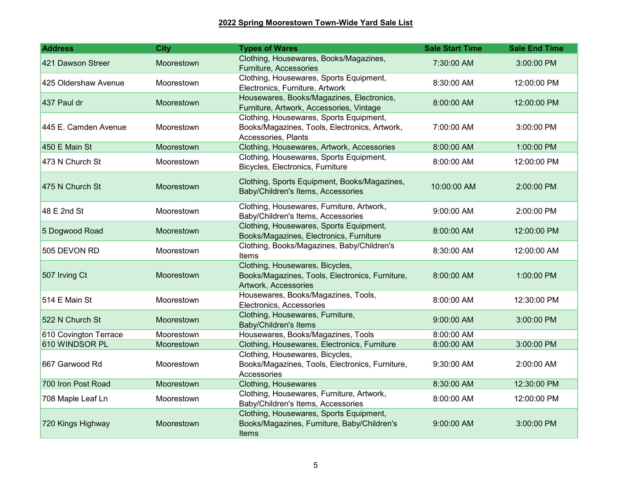| <b>Address</b>        | <b>City</b>       | <b>Types of Wares</b>                                                                                           | <b>Sale Start Time</b> | <b>Sale End Time</b> |
|-----------------------|-------------------|-----------------------------------------------------------------------------------------------------------------|------------------------|----------------------|
| 421 Dawson Streer     | Moorestown        | Clothing, Housewares, Books/Magazines,<br>Furniture, Accessories                                                | 7:30:00 AM             | 3:00:00 PM           |
| 425 Oldershaw Avenue  | Moorestown        | Clothing, Housewares, Sports Equipment,<br>Electronics, Furniture, Artwork                                      | 8:30:00 AM             | 12:00:00 PM          |
| 437 Paul dr           | Moorestown        | Housewares, Books/Magazines, Electronics,<br>Furniture, Artwork, Accessories, Vintage                           | 8:00:00 AM             | 12:00:00 PM          |
| 445 E. Camden Avenue  | Moorestown        | Clothing, Housewares, Sports Equipment,<br>Books/Magazines, Tools, Electronics, Artwork,<br>Accessories, Plants | 7:00:00 AM             | 3:00:00 PM           |
| 450 E Main St         | Moorestown        | Clothing, Housewares, Artwork, Accessories                                                                      | 8:00:00 AM             | 1:00:00 PM           |
| 473 N Church St       | Moorestown        | Clothing, Housewares, Sports Equipment,<br>Bicycles, Electronics, Furniture                                     | 8:00:00 AM             | 12:00:00 PM          |
| 475 N Church St       | Moorestown        | Clothing, Sports Equipment, Books/Magazines,<br>Baby/Children's Items, Accessories                              | 10:00:00 AM            | 2:00:00 PM           |
| 48 E 2nd St           | Moorestown        | Clothing, Housewares, Furniture, Artwork,<br>Baby/Children's Items, Accessories                                 | 9:00:00 AM             | 2:00:00 PM           |
| 5 Dogwood Road        | <b>Moorestown</b> | Clothing, Housewares, Sports Equipment,<br>Books/Magazines, Electronics, Furniture                              | 8:00:00 AM             | 12:00:00 PM          |
| 505 DEVON RD          | <b>Moorestown</b> | Clothing, Books/Magazines, Baby/Children's<br>Items                                                             | 8:30:00 AM             | 12:00:00 AM          |
| 507 Irving Ct         | Moorestown        | Clothing, Housewares, Bicycles,<br>Books/Magazines, Tools, Electronics, Furniture,<br>Artwork, Accessories      | 8:00:00 AM             | 1:00:00 PM           |
| 514 E Main St         | Moorestown        | Housewares, Books/Magazines, Tools,<br>Electronics, Accessories                                                 | 8:00:00 AM             | 12:30:00 PM          |
| 522 N Church St       | Moorestown        | Clothing, Housewares, Furniture,<br><b>Baby/Children's Items</b>                                                | 9:00:00 AM             | 3:00:00 PM           |
| 610 Covington Terrace | Moorestown        | Housewares, Books/Magazines, Tools                                                                              | 8:00:00 AM             |                      |
| 610 WINDSOR PL        | Moorestown        | Clothing, Housewares, Electronics, Furniture                                                                    | 8:00:00 AM             | 3:00:00 PM           |
| 667 Garwood Rd        | Moorestown        | Clothing, Housewares, Bicycles,<br>Books/Magazines, Tools, Electronics, Furniture,<br>Accessories               | 9:30:00 AM             | 2:00:00 AM           |
| 700 Iron Post Road    | Moorestown        | Clothing, Housewares                                                                                            | 8:30:00 AM             | 12:30:00 PM          |
| 708 Maple Leaf Ln     | Moorestown        | Clothing, Housewares, Furniture, Artwork,<br>Baby/Children's Items, Accessories                                 | 8:00:00 AM             | 12:00:00 PM          |
| 720 Kings Highway     | Moorestown        | Clothing, Housewares, Sports Equipment,<br>Books/Magazines, Furniture, Baby/Children's<br>Items                 | 9:00:00 AM             | 3:00:00 PM           |